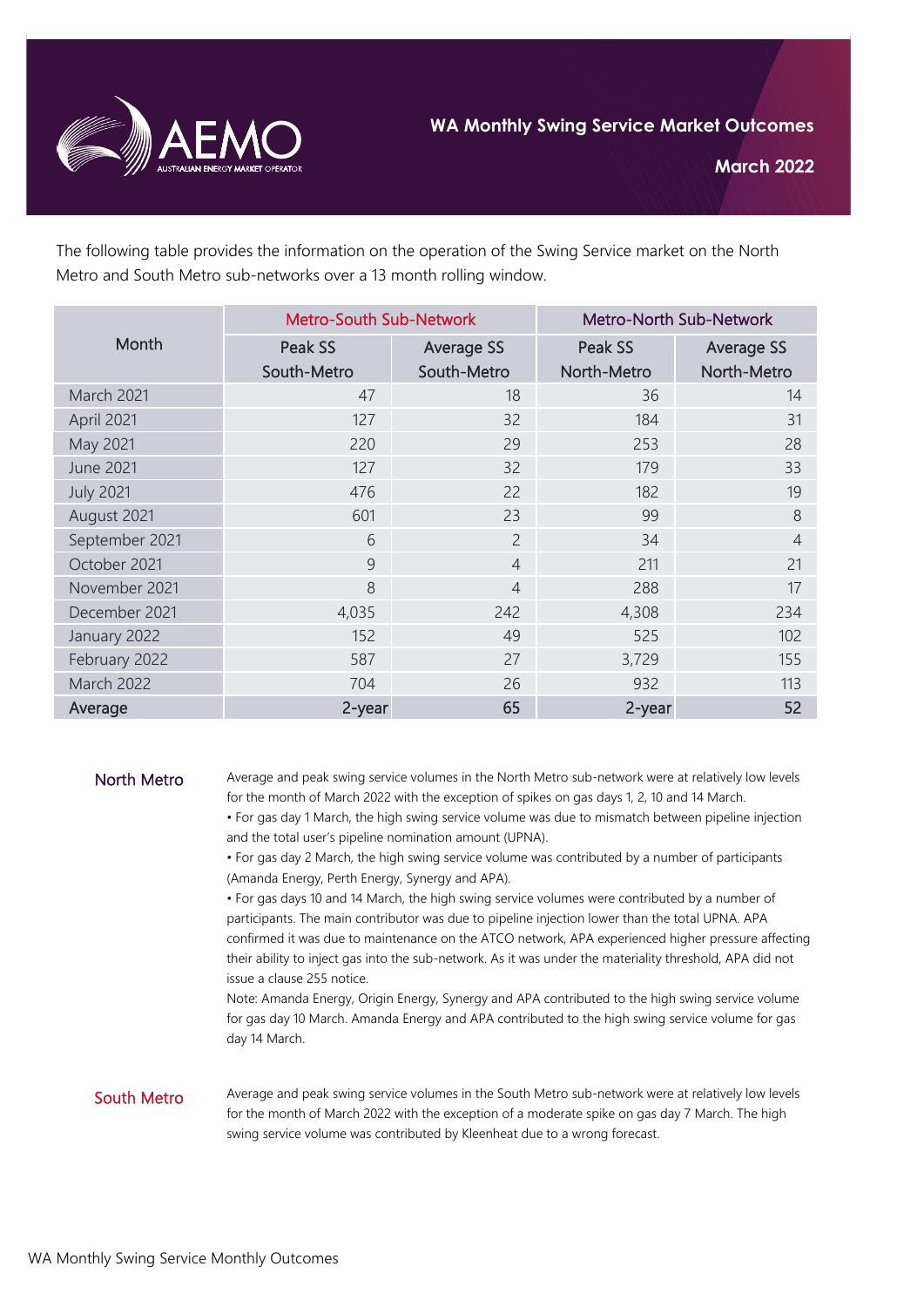

The following table provides the information on the operation of the Swing Service market on the North Metro and South Metro sub-networks over a 13 month rolling window.

|                  | <b>Metro-South Sub-Network</b> |                   | Metro-North Sub-Network |                   |
|------------------|--------------------------------|-------------------|-------------------------|-------------------|
| Month            | Peak SS                        | <b>Average SS</b> | Peak SS                 | <b>Average SS</b> |
|                  | South-Metro                    | South-Metro       | North-Metro             | North-Metro       |
| March 2021       | 47                             | 18                | 36                      | 14                |
| April 2021       | 127                            | 32                | 184                     | 31                |
| May 2021         | 220                            | 29                | 253                     | 28                |
| <b>June 2021</b> | 127                            | 32                | 179                     | 33                |
| <b>July 2021</b> | 476                            | 22                | 182                     | 19                |
| August 2021      | 601                            | 23                | 99                      | 8                 |
| September 2021   | 6                              | $\overline{2}$    | 34                      | $\overline{4}$    |
| October 2021     | 9                              | $\overline{4}$    | 211                     | 21                |
| November 2021    | 8                              | $\overline{4}$    | 288                     | 17                |
| December 2021    | 4,035                          | 242               | 4,308                   | 234               |
| January 2022     | 152                            | 49                | 525                     | 102               |
| February 2022    | 587                            | 27                | 3,729                   | 155               |
| March 2022       | 704                            | 26                | 932                     | 113               |
| Average          | 2-year                         | 65                | 2-year                  | 52                |

North Metro Average and peak swing service volumes in the North Metro sub-network were at relatively low levels for the month of March 2022 with the exception of spikes on gas days 1, 2, 10 and 14 March.

> • For gas day 1 March, the high swing service volume was due to mismatch between pipeline injection and the total user's pipeline nomination amount (UPNA).

• For gas day 2 March, the high swing service volume was contributed by a number of participants (Amanda Energy, Perth Energy, Synergy and APA).

• For gas days 10 and 14 March, the high swing service volumes were contributed by a number of participants. The main contributor was due to pipeline injection lower than the total UPNA. APA confirmed it was due to maintenance on the ATCO network, APA experienced higher pressure affecting their ability to inject gas into the sub-network. As it was under the materiality threshold, APA did not issue a clause 255 notice.

Note: Amanda Energy, Origin Energy, Synergy and APA contributed to the high swing service volume for gas day 10 March. Amanda Energy and APA contributed to the high swing service volume for gas day 14 March.

## South Metro

Average and peak swing service volumes in the South Metro sub-network were at relatively low levels for the month of March 2022 with the exception of a moderate spike on gas day 7 March. The high swing service volume was contributed by Kleenheat due to a wrong forecast.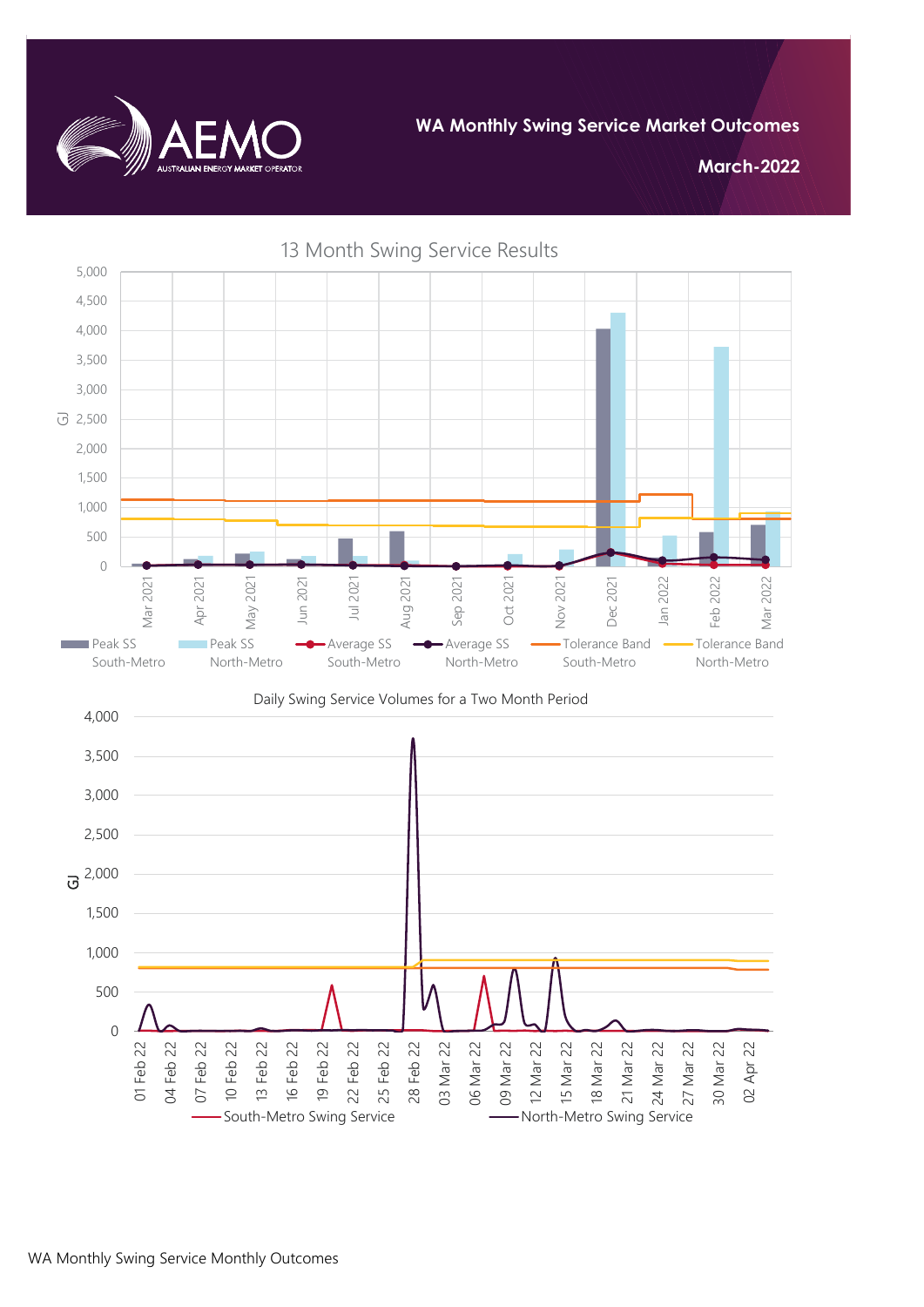

**March-2022**



13 Month Swing Service Results